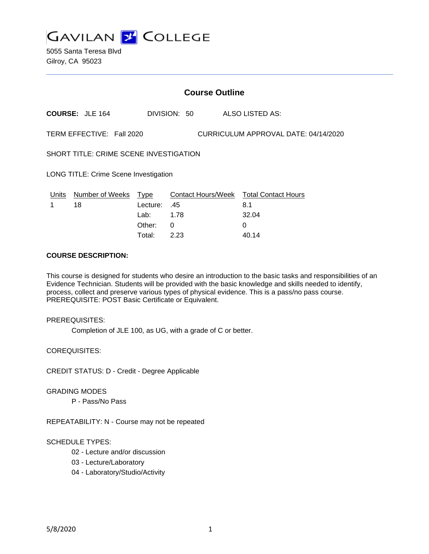**GAVILAN 2 COLLEGE** 

5055 Santa Teresa Blvd Gilroy, CA 95023

## **Course Outline**

**COURSE:** JLE 164 DIVISION: 50 ALSO LISTED AS:

TERM EFFECTIVE: Fall 2020 CURRICULUM APPROVAL DATE: 04/14/2020

SHORT TITLE: CRIME SCENE INVESTIGATION

LONG TITLE: Crime Scene Investigation

| Units | Number of Weeks Type |              | Contact Hours/Week Total Contact Hours |       |
|-------|----------------------|--------------|----------------------------------------|-------|
|       | 18                   | 45. Lecture: |                                        | 8.1   |
|       |                      | Lab: 1.78    |                                        | 32.04 |
|       |                      | Other: 0     |                                        |       |
|       |                      | Total:       | 223                                    | 40.14 |

# **COURSE DESCRIPTION:**

This course is designed for students who desire an introduction to the basic tasks and responsibilities of an Evidence Technician. Students will be provided with the basic knowledge and skills needed to identify, process, collect and preserve various types of physical evidence. This is a pass/no pass course. PREREQUISITE: POST Basic Certificate or Equivalent.

### PREREQUISITES:

Completion of JLE 100, as UG, with a grade of C or better.

COREQUISITES:

CREDIT STATUS: D - Credit - Degree Applicable

#### GRADING MODES

P - Pass/No Pass

REPEATABILITY: N - Course may not be repeated

#### SCHEDULE TYPES:

- 02 Lecture and/or discussion
- 03 Lecture/Laboratory
- 04 Laboratory/Studio/Activity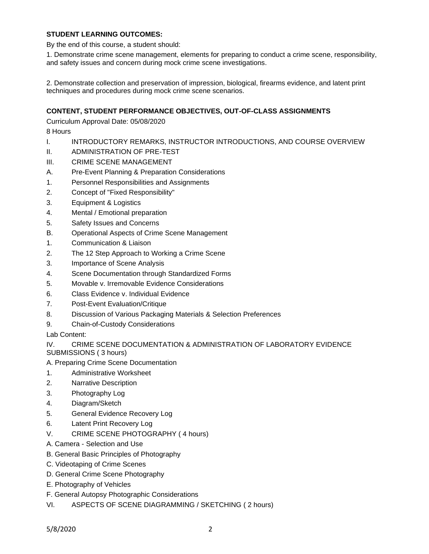### **STUDENT LEARNING OUTCOMES:**

By the end of this course, a student should:

1. Demonstrate crime scene management, elements for preparing to conduct a crime scene, responsibility, and safety issues and concern during mock crime scene investigations.

2. Demonstrate collection and preservation of impression, biological, firearms evidence, and latent print techniques and procedures during mock crime scene scenarios.

## **CONTENT, STUDENT PERFORMANCE OBJECTIVES, OUT-OF-CLASS ASSIGNMENTS**

Curriculum Approval Date: 05/08/2020

8 Hours

- I. INTRODUCTORY REMARKS, INSTRUCTOR INTRODUCTIONS, AND COURSE OVERVIEW
- II. ADMINISTRATION OF PRE-TEST
- III. CRIME SCENE MANAGEMENT
- A. Pre-Event Planning & Preparation Considerations
- 1. Personnel Responsibilities and Assignments
- 2. Concept of "Fixed Responsibility"
- 3. Equipment & Logistics
- 4. Mental / Emotional preparation
- 5. Safety Issues and Concerns
- B. Operational Aspects of Crime Scene Management
- 1. Communication & Liaison
- 2. The 12 Step Approach to Working a Crime Scene
- 3. Importance of Scene Analysis
- 4. Scene Documentation through Standardized Forms
- 5. Movable v. Irremovable Evidence Considerations
- 6. Class Evidence v. Individual Evidence
- 7. Post-Event Evaluation/Critique
- 8. Discussion of Various Packaging Materials & Selection Preferences
- 9. Chain-of-Custody Considerations

Lab Content:

### IV. CRIME SCENE DOCUMENTATION & ADMINISTRATION OF LABORATORY EVIDENCE SUBMISSIONS ( 3 hours)

- A. Preparing Crime Scene Documentation
- 1. Administrative Worksheet
- 2. Narrative Description
- 3. Photography Log
- 4. Diagram/Sketch
- 5. General Evidence Recovery Log
- 6. Latent Print Recovery Log
- V. CRIME SCENE PHOTOGRAPHY ( 4 hours)
- A. Camera Selection and Use
- B. General Basic Principles of Photography
- C. Videotaping of Crime Scenes
- D. General Crime Scene Photography
- E. Photography of Vehicles
- F. General Autopsy Photographic Considerations
- VI. ASPECTS OF SCENE DIAGRAMMING / SKETCHING ( 2 hours)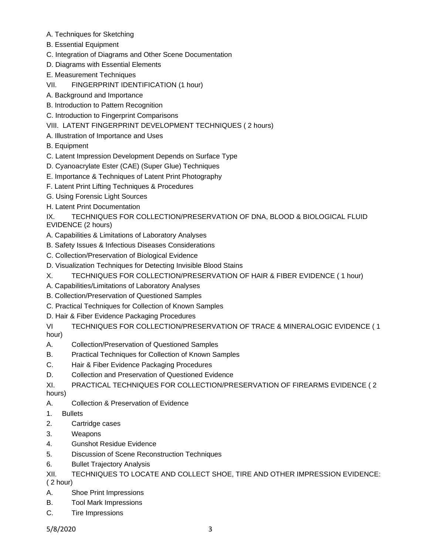- A. Techniques for Sketching
- B. Essential Equipment
- C. Integration of Diagrams and Other Scene Documentation
- D. Diagrams with Essential Elements
- E. Measurement Techniques
- VII. FINGERPRINT IDENTIFICATION (1 hour)
- A. Background and Importance
- B. Introduction to Pattern Recognition
- C. Introduction to Fingerprint Comparisons
- VIII. LATENT FINGERPRINT DEVELOPMENT TECHNIQUES ( 2 hours)
- A. Illustration of Importance and Uses
- B. Equipment
- C. Latent Impression Development Depends on Surface Type
- D. Cyanoacrylate Ester (CAE) (Super Glue) Techniques
- E. Importance & Techniques of Latent Print Photography
- F. Latent Print Lifting Techniques & Procedures
- G. Using Forensic Light Sources
- H. Latent Print Documentation

IX. TECHNIQUES FOR COLLECTION/PRESERVATION OF DNA, BLOOD & BIOLOGICAL FLUID EVIDENCE (2 hours)

- A. Capabilities & Limitations of Laboratory Analyses
- B. Safety Issues & Infectious Diseases Considerations
- C. Collection/Preservation of Biological Evidence
- D. Visualization Techniques for Detecting Invisible Blood Stains
- X. TECHNIQUES FOR COLLECTION/PRESERVATION OF HAIR & FIBER EVIDENCE ( 1 hour)
- A. Capabilities/Limitations of Laboratory Analyses
- B. Collection/Preservation of Questioned Samples
- C. Practical Techniques for Collection of Known Samples
- D. Hair & Fiber Evidence Packaging Procedures

VI TECHNIQUES FOR COLLECTION/PRESERVATION OF TRACE & MINERALOGIC EVIDENCE ( 1 hour)

- A. Collection/Preservation of Questioned Samples
- B. Practical Techniques for Collection of Known Samples
- C. Hair & Fiber Evidence Packaging Procedures
- D. Collection and Preservation of Questioned Evidence
- XI. PRACTICAL TECHNIQUES FOR COLLECTION/PRESERVATION OF FIREARMS EVIDENCE ( 2 hours)
- A. Collection & Preservation of Evidence
- 1. Bullets
- 2. Cartridge cases
- 3. Weapons
- 4. Gunshot Residue Evidence
- 5. Discussion of Scene Reconstruction Techniques
- 6. Bullet Trajectory Analysis
- XII. TECHNIQUES TO LOCATE AND COLLECT SHOE, TIRE AND OTHER IMPRESSION EVIDENCE:

( 2 hour)

- A. Shoe Print Impressions
- B. Tool Mark Impressions
- C. Tire Impressions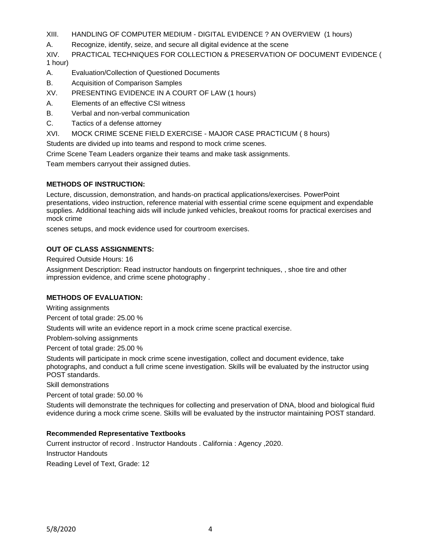- XIII. HANDLING OF COMPUTER MEDIUM DIGITAL EVIDENCE ? AN OVERVIEW (1 hours)
- A. Recognize, identify, seize, and secure all digital evidence at the scene

XIV. PRACTICAL TECHNIQUES FOR COLLECTION & PRESERVATION OF DOCUMENT EVIDENCE ( 1 hour)

- A. Evaluation/Collection of Questioned Documents
- B. Acquisition of Comparison Samples
- XV. PRESENTING EVIDENCE IN A COURT OF LAW (1 hours)
- A. Elements of an effective CSI witness
- B. Verbal and non-verbal communication
- C. Tactics of a defense attorney
- XVI. MOCK CRIME SCENE FIELD EXERCISE MAJOR CASE PRACTICUM ( 8 hours)

Students are divided up into teams and respond to mock crime scenes.

Crime Scene Team Leaders organize their teams and make task assignments.

Team members carryout their assigned duties.

### **METHODS OF INSTRUCTION:**

Lecture, discussion, demonstration, and hands-on practical applications/exercises. PowerPoint presentations, video instruction, reference material with essential crime scene equipment and expendable supplies. Additional teaching aids will include junked vehicles, breakout rooms for practical exercises and mock crime

scenes setups, and mock evidence used for courtroom exercises.

## **OUT OF CLASS ASSIGNMENTS:**

Required Outside Hours: 16

Assignment Description: Read instructor handouts on fingerprint techniques, , shoe tire and other impression evidence, and crime scene photography .

### **METHODS OF EVALUATION:**

Writing assignments

Percent of total grade: 25.00 %

Students will write an evidence report in a mock crime scene practical exercise.

Problem-solving assignments

Percent of total grade: 25.00 %

Students will participate in mock crime scene investigation, collect and document evidence, take photographs, and conduct a full crime scene investigation. Skills will be evaluated by the instructor using POST standards.

Skill demonstrations

Percent of total grade: 50.00 %

Students will demonstrate the techniques for collecting and preservation of DNA, blood and biological fluid evidence during a mock crime scene. Skills will be evaluated by the instructor maintaining POST standard.

### **Recommended Representative Textbooks**

Current instructor of record . Instructor Handouts . California : Agency ,2020. Instructor Handouts Reading Level of Text, Grade: 12